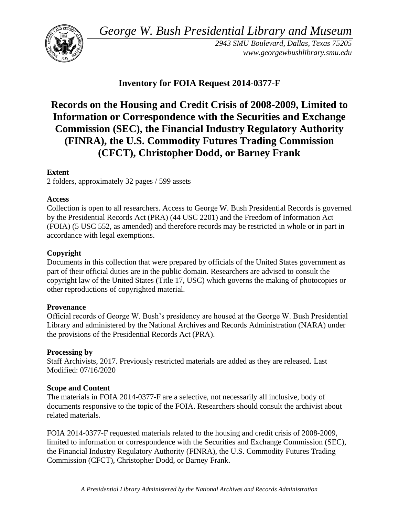*George W. Bush Presidential Library and Museum* 



*2943 SMU Boulevard, Dallas, Texas 75205 <www.georgewbushlibrary.smu.edu>* 

# **Inventory for FOIA Request 2014-0377-F**

# **Records on the Housing and Credit Crisis of 2008-2009, Limited to Information or Correspondence with the Securities and Exchange Commission (SEC), the Financial Industry Regulatory Authority (FINRA), the U.S. Commodity Futures Trading Commission (CFCT), Christopher Dodd, or Barney Frank**

#### **Extent**

2 folders, approximately 32 pages / 599 assets

#### **Access**

Collection is open to all researchers. Access to George W. Bush Presidential Records is governed by the Presidential Records Act (PRA) (44 USC 2201) and the Freedom of Information Act (FOIA) (5 USC 552, as amended) and therefore records may be restricted in whole or in part in accordance with legal exemptions.

# **Copyright**

 Documents in this collection that were prepared by officials of the United States government as part of their official duties are in the public domain. Researchers are advised to consult the copyright law of the United States (Title 17, USC) which governs the making of photocopies or other reproductions of copyrighted material.

# **Provenance**

Official records of George W. Bush's presidency are housed at the George W. Bush Presidential Library and administered by the National Archives and Records Administration (NARA) under the provisions of the Presidential Records Act (PRA).

# **Processing by**

Staff Archivists, 2017. Previously restricted materials are added as they are released. Last Modified: 07/16/2020

#### **Scope and Content**

 documents responsive to the topic of the FOIA. Researchers should consult the archivist about The materials in FOIA 2014-0377-F are a selective, not necessarily all inclusive, body of related materials.

FOIA 2014-0377-F requested materials related to the housing and credit crisis of 2008-2009, limited to information or correspondence with the Securities and Exchange Commission (SEC), the Financial Industry Regulatory Authority (FINRA), the U.S. Commodity Futures Trading Commission (CFCT), Christopher Dodd, or Barney Frank.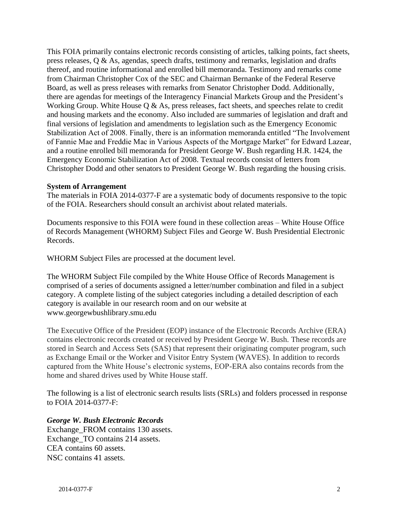and a routine enrolled bill memoranda for President George W. Bush regarding H.R. 1424, the This FOIA primarily contains electronic records consisting of articles, talking points, fact sheets, press releases, Q & As, agendas, speech drafts, testimony and remarks, legislation and drafts thereof, and routine informational and enrolled bill memoranda. Testimony and remarks come from Chairman Christopher Cox of the SEC and Chairman Bernanke of the Federal Reserve Board, as well as press releases with remarks from Senator Christopher Dodd. Additionally, there are agendas for meetings of the Interagency Financial Markets Group and the President's Working Group. White House Q & As, press releases, fact sheets, and speeches relate to credit and housing markets and the economy. Also included are summaries of legislation and draft and final versions of legislation and amendments to legislation such as the Emergency Economic Stabilization Act of 2008. Finally, there is an information memoranda entitled "The Involvement of Fannie Mae and Freddie Mac in Various Aspects of the Mortgage Market" for Edward Lazear, Emergency Economic Stabilization Act of 2008. Textual records consist of letters from Christopher Dodd and other senators to President George W. Bush regarding the housing crisis.

#### **System of Arrangement**

 The materials in FOIA 2014-0377-F are a systematic body of documents responsive to the topic of the FOIA. Researchers should consult an archivist about related materials.

Documents responsive to this FOIA were found in these collection areas – White House Office of Records Management (WHORM) Subject Files and George W. Bush Presidential Electronic Records.

WHORM Subject Files are processed at the document level.

 The WHORM Subject File compiled by the White House Office of Records Management is comprised of a series of documents assigned a letter/number combination and filed in a subject category. A complete listing of the subject categories including a detailed description of each category is available in our research room and on our website at <www.georgewbushlibrary.smu.edu>

 contains electronic records created or received by President George W. Bush. These records are as Exchange Email or the Worker and Visitor Entry System (WAVES). In addition to records The Executive Office of the President (EOP) instance of the Electronic Records Archive (ERA) stored in Search and Access Sets (SAS) that represent their originating computer program, such captured from the White House's electronic systems, EOP-ERA also contains records from the home and shared drives used by White House staff.

The following is a list of electronic search results lists (SRLs) and folders processed in response to FOIA 2014-0377-F:

#### *George W. Bush Electronic Records*

 Exchange\_FROM contains 130 assets. NSC contains 41 assets. Exchange\_TO contains 214 assets. CEA contains 60 assets.